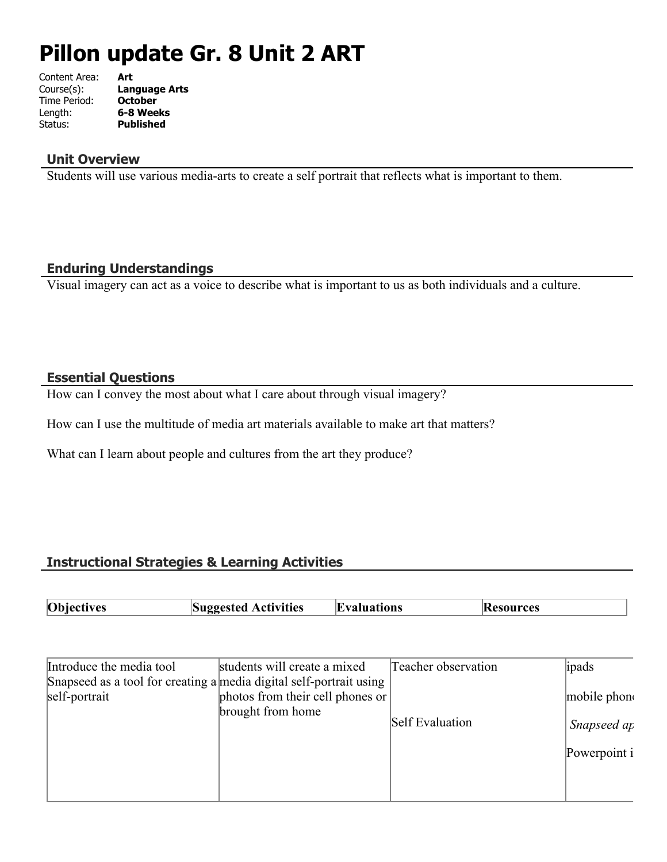# **Pillon update Gr. 8 Unit 2 ART**

| Content Area: | Art                  |
|---------------|----------------------|
| Course(s):    | <b>Language Arts</b> |
| Time Period:  | <b>October</b>       |
| Length:       | 6-8 Weeks            |
| Status:       | <b>Published</b>     |
|               |                      |

## **Unit Overview**

Students will use various media-arts to create a self portrait that reflects what is important to them.

# **Enduring Understandings**

Visual imagery can act as a voice to describe what is important to us as both individuals and a culture.

#### **Essential Questions**

How can I convey the most about what I care about through visual imagery?

How can I use the multitude of media art materials available to make art that matters?

What can I learn about people and cultures from the art they produce?

# **Instructional Strategies & Learning Activities**

| <b>Objectives</b><br>Suggested<br><b>Activities</b><br>ıluations<br>rces<br>w |  |
|-------------------------------------------------------------------------------|--|
|-------------------------------------------------------------------------------|--|

| Introduce the media tool                                            | students will create a mixed     | Teacher observation | ipads        |
|---------------------------------------------------------------------|----------------------------------|---------------------|--------------|
| Snapseed as a tool for creating a media digital self-portrait using |                                  |                     |              |
| self-portrait                                                       | photos from their cell phones or |                     | mobile phone |
|                                                                     | brought from home                |                     |              |
|                                                                     |                                  | Self Evaluation     | Snapseed ap  |
|                                                                     |                                  |                     | Powerpoint i |
|                                                                     |                                  |                     |              |
|                                                                     |                                  |                     |              |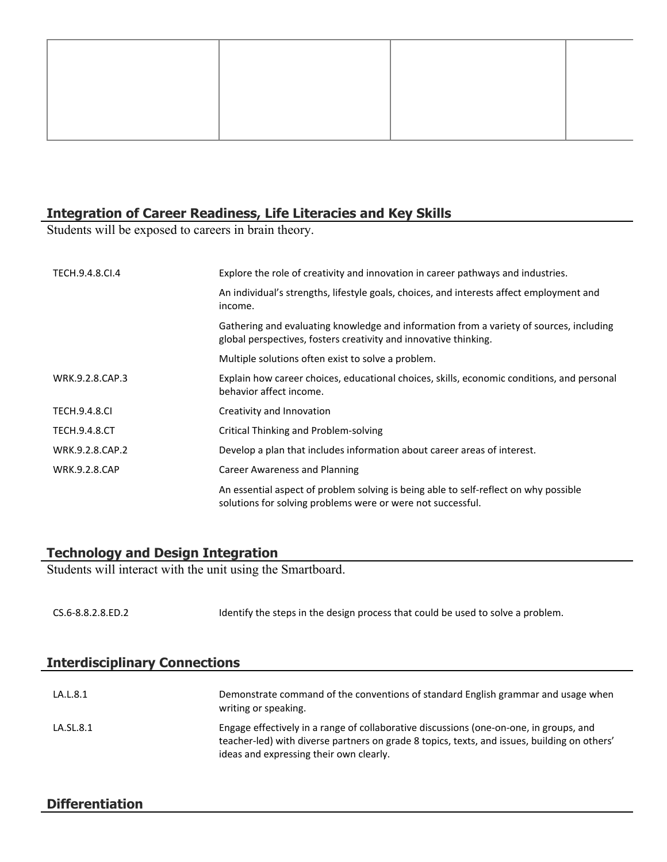#### **Integration of Career Readiness, Life Literacies and Key Skills**

Students will be exposed to careers in brain theory.

| TECH.9.4.8.CI.4      | Explore the role of creativity and innovation in career pathways and industries.                                                                            |
|----------------------|-------------------------------------------------------------------------------------------------------------------------------------------------------------|
|                      | An individual's strengths, lifestyle goals, choices, and interests affect employment and<br>income.                                                         |
|                      | Gathering and evaluating knowledge and information from a variety of sources, including<br>global perspectives, fosters creativity and innovative thinking. |
|                      | Multiple solutions often exist to solve a problem.                                                                                                          |
| WRK.9.2.8.CAP.3      | Explain how career choices, educational choices, skills, economic conditions, and personal<br>behavior affect income.                                       |
| <b>TECH.9.4.8.CI</b> | Creativity and Innovation                                                                                                                                   |
| <b>TECH.9.4.8.CT</b> | Critical Thinking and Problem-solving                                                                                                                       |
| WRK.9.2.8.CAP.2      | Develop a plan that includes information about career areas of interest.                                                                                    |
| <b>WRK.9.2.8.CAP</b> | <b>Career Awareness and Planning</b>                                                                                                                        |
|                      | An essential aspect of problem solving is being able to self-reflect on why possible<br>solutions for solving problems were or were not successful.         |

# **Technology and Design Integration**

Students will interact with the unit using the Smartboard.

| CS.6-8.8.2.8.ED.2 | Identify the steps in the design process that could be used to solve a problem. |
|-------------------|---------------------------------------------------------------------------------|
|                   |                                                                                 |

| <b>Interdisciplinary Connections</b> |                                                                                                                                                                                                                                   |
|--------------------------------------|-----------------------------------------------------------------------------------------------------------------------------------------------------------------------------------------------------------------------------------|
|                                      |                                                                                                                                                                                                                                   |
| LA.L.8.1                             | Demonstrate command of the conventions of standard English grammar and usage when<br>writing or speaking.                                                                                                                         |
| LA.SL.8.1                            | Engage effectively in a range of collaborative discussions (one-on-one, in groups, and<br>teacher-led) with diverse partners on grade 8 topics, texts, and issues, building on others'<br>ideas and expressing their own clearly. |

# **Differentiation**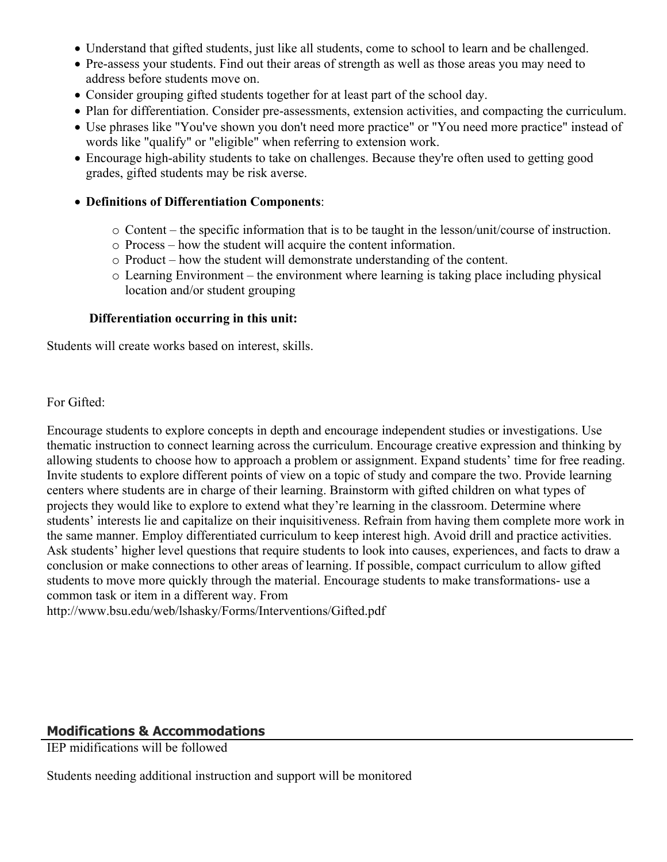- Understand that gifted students, just like all students, come to school to learn and be challenged.
- Pre-assess your students. Find out their areas of strength as well as those areas you may need to address before students move on.
- Consider grouping gifted students together for at least part of the school day.
- Plan for differentiation. Consider pre-assessments, extension activities, and compacting the curriculum.
- Use phrases like "You've shown you don't need more practice" or "You need more practice" instead of words like "qualify" or "eligible" when referring to extension work.
- Encourage high-ability students to take on challenges. Because they're often used to getting good grades, gifted students may be risk averse.

#### **Definitions of Differentiation Components**:

- o Content the specific information that is to be taught in the lesson/unit/course of instruction.
- o Process how the student will acquire the content information.
- o Product how the student will demonstrate understanding of the content.
- o Learning Environment the environment where learning is taking place including physical location and/or student grouping

#### **Differentiation occurring in this unit:**

Students will create works based on interest, skills.

For Gifted:

Encourage students to explore concepts in depth and encourage independent studies or investigations. Use thematic instruction to connect learning across the curriculum. Encourage creative expression and thinking by allowing students to choose how to approach a problem or assignment. Expand students' time for free reading. Invite students to explore different points of view on a topic of study and compare the two. Provide learning centers where students are in charge of their learning. Brainstorm with gifted children on what types of projects they would like to explore to extend what they're learning in the classroom. Determine where students' interests lie and capitalize on their inquisitiveness. Refrain from having them complete more work in the same manner. Employ differentiated curriculum to keep interest high. Avoid drill and practice activities. Ask students' higher level questions that require students to look into causes, experiences, and facts to draw a conclusion or make connections to other areas of learning. If possible, compact curriculum to allow gifted students to move more quickly through the material. Encourage students to make transformations- use a common task or item in a different way. From

http://www.bsu.edu/web/lshasky/Forms/Interventions/Gifted.pdf

# **Modifications & Accommodations**

IEP midifications will be followed

Students needing additional instruction and support will be monitored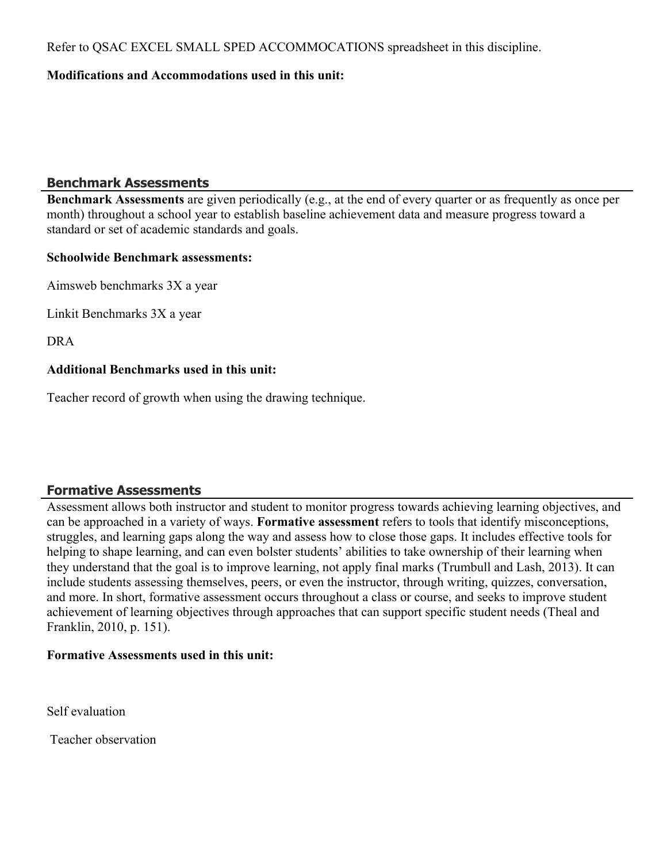Refer to QSAC EXCEL SMALL SPED ACCOMMOCATIONS spreadsheet in this discipline.

## **Modifications and Accommodations used in this unit:**

## **Benchmark Assessments**

**Benchmark Assessments** are given periodically (e.g., at the end of every quarter or as frequently as once per month) throughout a school year to establish baseline achievement data and measure progress toward a standard or set of academic standards and goals.

#### **Schoolwide Benchmark assessments:**

Aimsweb benchmarks 3X a year

Linkit Benchmarks 3X a year

DRA

#### **Additional Benchmarks used in this unit:**

Teacher record of growth when using the drawing technique.

# **Formative Assessments**

Assessment allows both instructor and student to monitor progress towards achieving learning objectives, and can be approached in a variety of ways. **Formative assessment** refers to tools that identify misconceptions, struggles, and learning gaps along the way and assess how to close those gaps. It includes effective tools for helping to shape learning, and can even bolster students' abilities to take ownership of their learning when they understand that the goal is to improve learning, not apply final marks (Trumbull and Lash, 2013). It can include students assessing themselves, peers, or even the instructor, through writing, quizzes, conversation, and more. In short, formative assessment occurs throughout a class or course, and seeks to improve student achievement of learning objectives through approaches that can support specific student needs (Theal and Franklin, 2010, p. 151).

#### **Formative Assessments used in this unit:**

Self evaluation

Teacher observation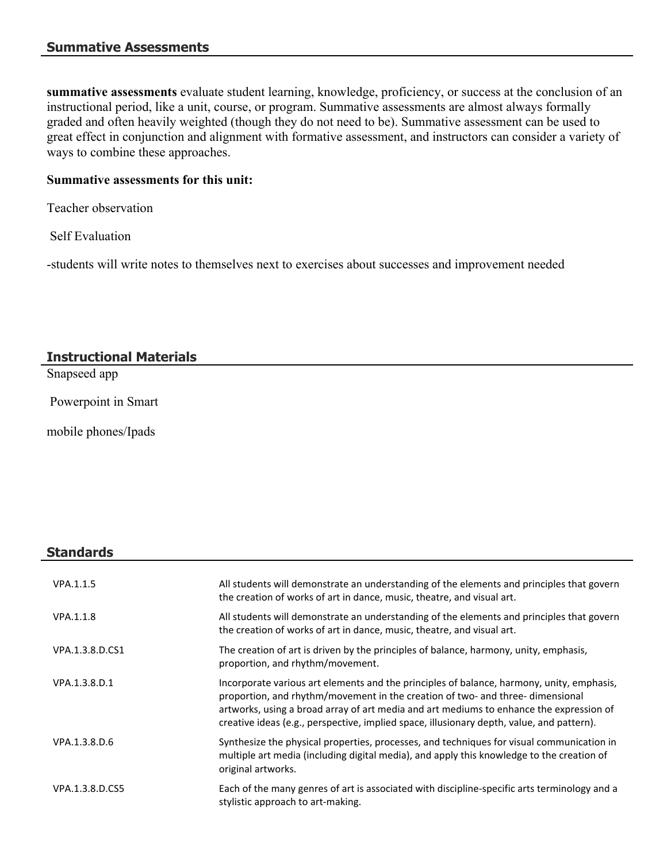**summative assessments** evaluate student learning, knowledge, proficiency, or success at the conclusion of an instructional period, like a unit, course, or program. Summative assessments are almost always formally graded and often heavily weighted (though they do not need to be). Summative assessment can be used to great effect in conjunction and alignment with formative assessment, and instructors can consider a variety of ways to combine these approaches.

# **Summative assessments for this unit:**

Teacher observation

Self Evaluation

-students will write notes to themselves next to exercises about successes and improvement needed

# **Instructional Materials**

Snapseed app

Powerpoint in Smart

mobile phones/Ipads

# **Standards**

| VPA.1.1.5       | All students will demonstrate an understanding of the elements and principles that govern<br>the creation of works of art in dance, music, theatre, and visual art.                                                                                                                                                                                                 |
|-----------------|---------------------------------------------------------------------------------------------------------------------------------------------------------------------------------------------------------------------------------------------------------------------------------------------------------------------------------------------------------------------|
| VPA.1.1.8       | All students will demonstrate an understanding of the elements and principles that govern<br>the creation of works of art in dance, music, theatre, and visual art.                                                                                                                                                                                                 |
| VPA.1.3.8.D.CS1 | The creation of art is driven by the principles of balance, harmony, unity, emphasis,<br>proportion, and rhythm/movement.                                                                                                                                                                                                                                           |
| VPA.1.3.8.D.1   | Incorporate various art elements and the principles of balance, harmony, unity, emphasis,<br>proportion, and rhythm/movement in the creation of two- and three- dimensional<br>artworks, using a broad array of art media and art mediums to enhance the expression of<br>creative ideas (e.g., perspective, implied space, illusionary depth, value, and pattern). |
| VPA.1.3.8.D.6   | Synthesize the physical properties, processes, and techniques for visual communication in<br>multiple art media (including digital media), and apply this knowledge to the creation of<br>original artworks.                                                                                                                                                        |
| VPA.1.3.8.D.CS5 | Each of the many genres of art is associated with discipline-specific arts terminology and a<br>stylistic approach to art-making.                                                                                                                                                                                                                                   |